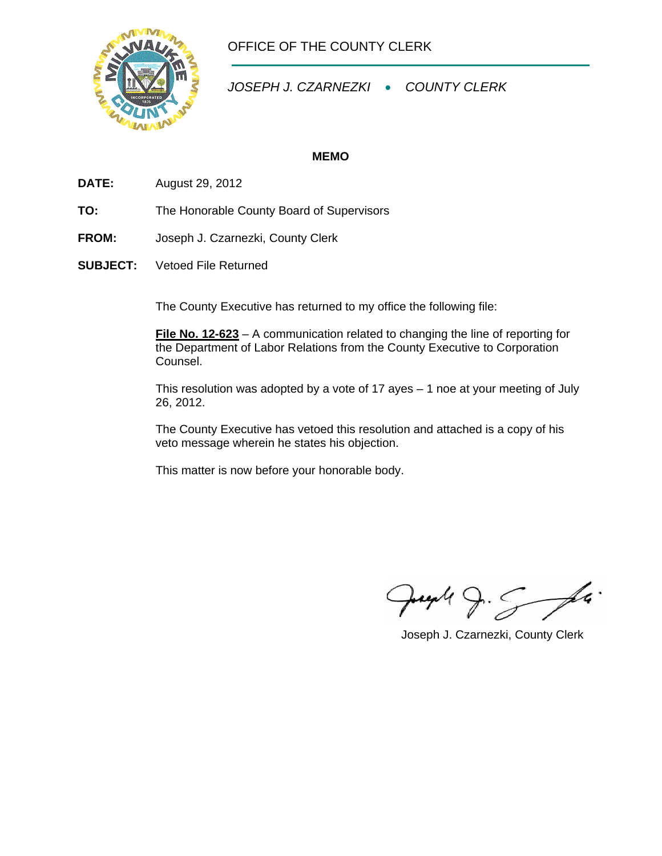

OFFICE OF THE COUNTY CLERK

*JOSEPH J. CZARNEZKI* • *COUNTY CLERK* 

## **MEMO**

- **DATE:** August 29, 2012
- **TO:** The Honorable County Board of Supervisors
- **FROM:** Joseph J. Czarnezki, County Clerk
- **SUBJECT:** Vetoed File Returned

The County Executive has returned to my office the following file:

**File No. 12-623** – A communication related to changing the line of reporting for the Department of Labor Relations from the County Executive to Corporation Counsel.

This resolution was adopted by a vote of 17 ayes  $-$  1 noe at your meeting of July 26, 2012.

 The County Executive has vetoed this resolution and attached is a copy of his veto message wherein he states his objection.

This matter is now before your honorable body.

 $9.5 - 14$ Juga (

Joseph J. Czarnezki, County Clerk